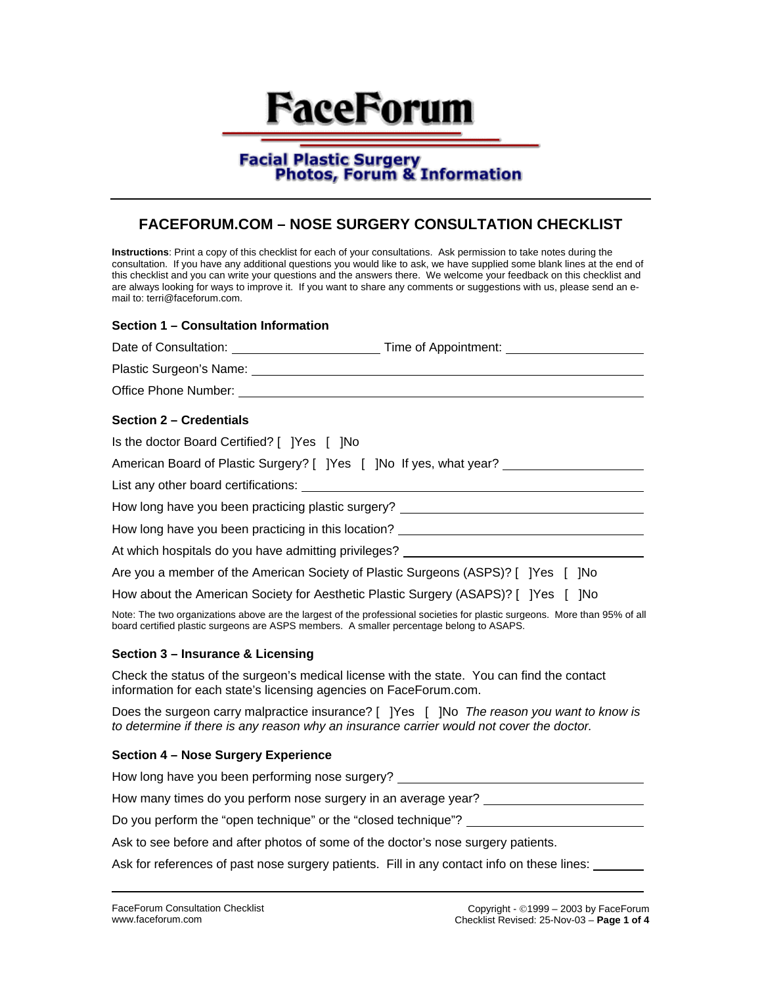# **FaceForum**

# **Facial Plastic Surgery Photos, Forum & Information**

# **FACEFORUM.COM – NOSE SURGERY CONSULTATION CHECKLIST**

**Instructions**: Print a copy of this checklist for each of your consultations. Ask permission to take notes during the consultation. If you have any additional questions you would like to ask, we have supplied some blank lines at the end of this checklist and you can write your questions and the answers there. We welcome your feedback on this checklist and are always looking for ways to improve it. If you want to share any comments or suggestions with us, please send an email to: terri@faceforum.com.

# **Section 1 – Consultation Information**

| <b>Section 2 – Credentials</b>              |                                                                                                                             |
|---------------------------------------------|-----------------------------------------------------------------------------------------------------------------------------|
| Is the doctor Board Certified? [ ]Yes [ ]No |                                                                                                                             |
|                                             | American Board of Plastic Surgery? [ ] Yes [ ] No If yes, what year?                                                        |
|                                             |                                                                                                                             |
|                                             | How long have you been practicing plastic surgery? _____________________________                                            |
|                                             | How long have you been practicing in this location? ____________________________                                            |
|                                             | At which hospitals do you have admitting privileges?                                                                        |
|                                             | Are you a member of the American Society of Plastic Surgeons (ASPS)? [ ]Yes [ ]No                                           |
|                                             | How about the American Society for Aesthetic Plastic Surgery (ASAPS)? [ ]Yes [ ]No                                          |
|                                             | Note: The two ergenizations above are the lergest of the prefeccional equiption for plastic ourgeons. Mars than 050/ of all |

Note: The two organizations above are the largest of the professional societies for plastic surgeons. More than 95% of all board certified plastic surgeons are ASPS members. A smaller percentage belong to ASAPS.

# **Section 3 – Insurance & Licensing**

Check the status of the surgeon's medical license with the state. You can find the contact information for each state's licensing agencies on FaceForum.com.

Does the surgeon carry malpractice insurance? [ ]Yes [ ]No *The reason you want to know is to determine if there is any reason why an insurance carrier would not cover the doctor.*

#### **Section 4 – Nose Surgery Experience**

| How long have you been performing nose surgery?                |
|----------------------------------------------------------------|
| How many times do you perform nose surgery in an average year? |
| Do you perform the "open technique" or the "closed technique"? |

Ask to see before and after photos of some of the doctor's nose surgery patients.

Ask for references of past nose surgery patients. Fill in any contact info on these lines: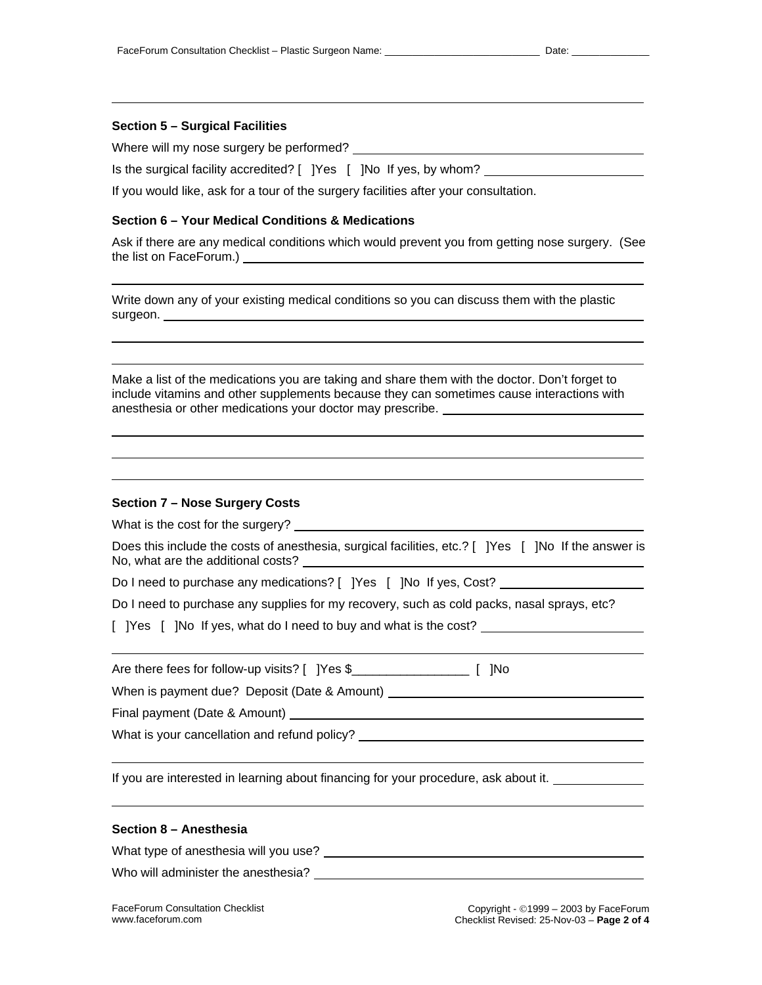#### **Section 5 – Surgical Facilities**

Where will my nose surgery be performed?

Is the surgical facility accredited? [ ]Yes [ ]No If yes, by whom?

If you would like, ask for a tour of the surgery facilities after your consultation.

#### **Section 6 – Your Medical Conditions & Medications**

Ask if there are any medical conditions which would prevent you from getting nose surgery. (See the list on FaceForum.)

Write down any of your existing medical conditions so you can discuss them with the plastic surgeon.

Make a list of the medications you are taking and share them with the doctor. Don't forget to include vitamins and other supplements because they can sometimes cause interactions with anesthesia or other medications your doctor may prescribe.

#### **Section 7 – Nose Surgery Costs**

What is the cost for the surgery?

Does this include the costs of anesthesia, surgical facilities, etc.? [ ]Yes [ ]No If the answer is No, what are the additional costs?

Do I need to purchase any medications? [ ]Yes [ ]No If yes, Cost?

Do I need to purchase any supplies for my recovery, such as cold packs, nasal sprays, etc?

[ ]Yes [ ]No If yes, what do I need to buy and what is the cost?

| Are there fees for follow-up visits? [ ]Yes \$ | [ ]No |
|------------------------------------------------|-------|
|                                                |       |

When is payment due? Deposit (Date & Amount) \_\_\_\_\_\_\_\_\_\_\_

Final payment (Date & Amount)

What is your cancellation and refund policy?

If you are interested in learning about financing for your procedure, ask about it.

#### **Section 8 – Anesthesia**

What type of anesthesia will you use?

Who will administer the anesthesia?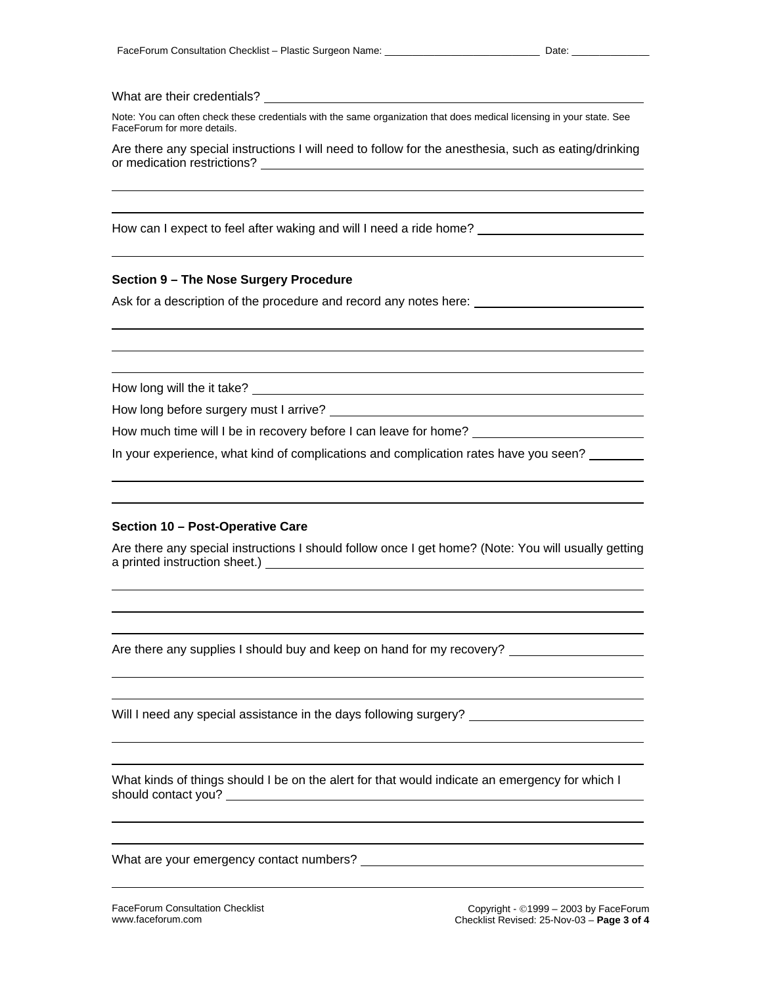## What are their credentials?

Note: You can often check these credentials with the same organization that does medical licensing in your state. See FaceForum for more details.

Are there any special instructions I will need to follow for the anesthesia, such as eating/drinking or medication restrictions?

How can I expect to feel after waking and will I need a ride home? \_\_\_\_\_\_\_\_\_\_\_\_\_

#### **Section 9 – The Nose Surgery Procedure**

Ask for a description of the procedure and record any notes here:

How long will the it take? \_\_\_\_\_\_\_\_\_\_

How long before surgery must I arrive?

How much time will I be in recovery before I can leave for home?

In your experience, what kind of complications and complication rates have you seen? \_\_\_\_\_\_\_

# **Section 10 – Post-Operative Care**

Are there any special instructions I should follow once I get home? (Note: You will usually getting a printed instruction sheet.)

Are there any supplies I should buy and keep on hand for my recovery?

Will I need any special assistance in the days following surgery?

What kinds of things should I be on the alert for that would indicate an emergency for which I should contact you?

What are your emergency contact numbers?